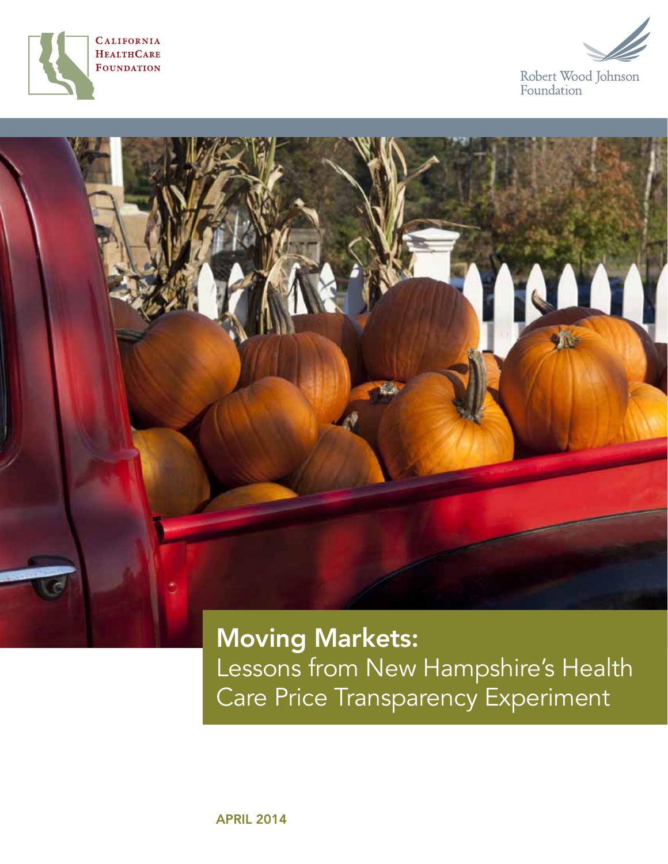





Moving Markets: Lessons from New Hampshire's Health Care Price Transparency Experiment

april 2014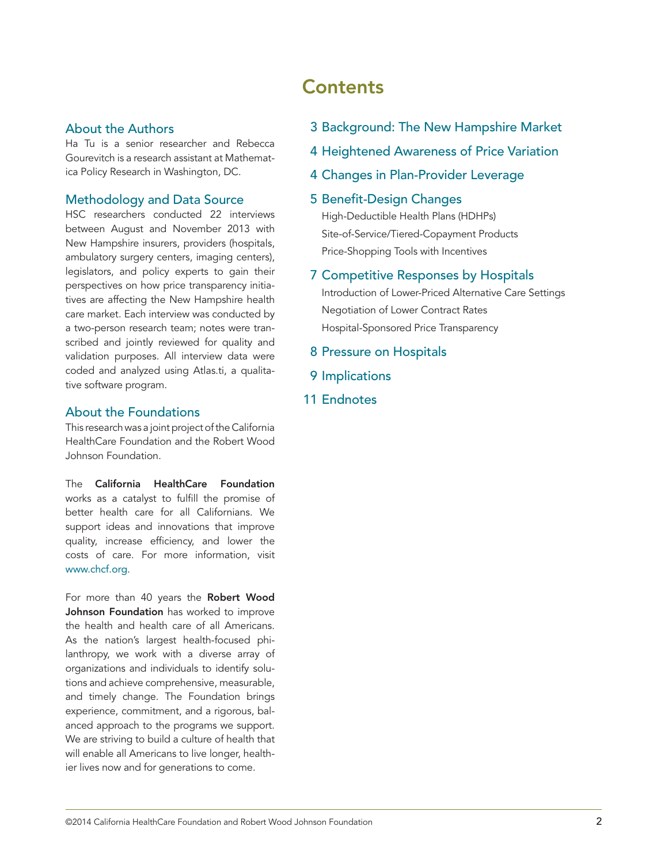#### About the Authors

Ha Tu is a senior researcher and Rebecca Gourevitch is a research assistant at Mathematica Policy Research in Washington, DC.

#### Methodology and Data Source

HSC researchers conducted 22 interviews between August and November 2013 with New Hampshire insurers, providers (hospitals, ambulatory surgery centers, imaging centers), legislators, and policy experts to gain their perspectives on how price transparency initiatives are affecting the New Hampshire health care market. Each interview was conducted by a two-person research team; notes were transcribed and jointly reviewed for quality and validation purposes. All interview data were coded and analyzed using Atlas.ti, a qualitative software program.

#### About the Foundations

This research was a joint project of the California HealthCare Foundation and the Robert Wood Johnson Foundation.

The California HealthCare Foundation works as a catalyst to fulfill the promise of better health care for all Californians. We support ideas and innovations that improve quality, increase efficiency, and lower the costs of care. For more information, visit [www.chcf.org](http://www.chcf.org).

For more than 40 years the Robert Wood Johnson Foundation has worked to improve the health and health care of all Americans. As the nation's largest health-focused philanthropy, we work with a diverse array of organizations and individuals to identify solutions and achieve comprehensive, measurable, and timely change. The Foundation brings experience, commitment, and a rigorous, balanced approach to the programs we support. We are striving to build a culture of health that will enable all Americans to live longer, healthier lives now and for generations to come.

## **Contents**

- 3 [Background: The New Hampshire Market](#page-2-0)
- 4 [Heightened Awareness of Price Variation](#page-3-0)
- 4 [Changes in Plan-Provider Leverage](#page-3-0)

#### 5 [Benefit-Design Changes](#page-4-0)

[High-Deductible Health Plans \(HDHPs\)](#page-4-0)  [Site-of-Service/Tiered-Copayment Products](#page-4-0) [Price-Shopping Tools with Incentives](#page-5-0)

7 [Competitive Responses by Hospitals](#page-6-0)

[Introduction of Lower-Priced Alternative Care Settings](#page-6-0) [Negotiation of Lower Contract Rates](#page-7-0) [Hospital-Sponsored Price Transparency](#page-7-0)

- 8 [Pressure on Hospitals](#page-7-0)
- 9 [Implications](#page-8-0)
- 11 [Endnotes](#page-10-0)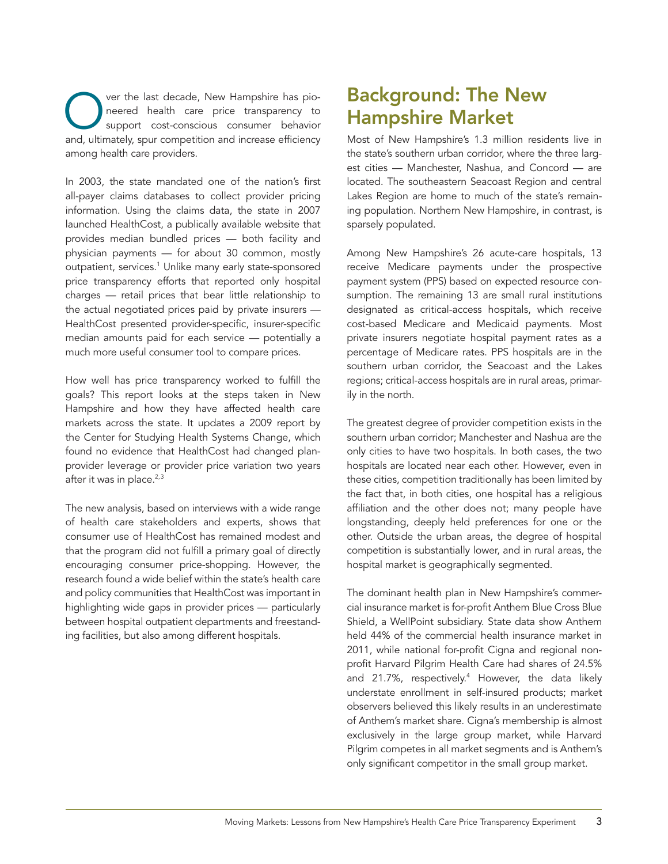<span id="page-2-0"></span>Ver the last decade, New Hampshire has pio-<br>
neered health care price transparency to<br>
support cost-conscious consumer behavior<br>
and ultimately spur competition and increase efficiency neered health care price transparency to support cost-conscious consumer behavior and, ultimately, spur competition and increase efficiency among health care providers.

In 2003, the state mandated one of the nation's first all-payer claims databases to collect provider pricing information. Using the claims data, the state in 2007 launched HealthCost, a publically available website that provides median bundled prices — both facility and physician payments — for about 30 common, mostly outpatient, services.<sup>1</sup> Unlike many early state-sponsored price transparency efforts that reported only hospital charges — retail prices that bear little relationship to the actual negotiated prices paid by private insurers — HealthCost presented provider-specific, insurer-specific median amounts paid for each service — potentially a much more useful consumer tool to compare prices.

How well has price transparency worked to fulfill the goals? This report looks at the steps taken in New Hampshire and how they have affected health care markets across the state. It updates a 2009 report by the Center for Studying Health Systems Change, which found no evidence that HealthCost had changed planprovider leverage or provider price variation two years after it was in place.<sup>2,3</sup>

The new analysis, based on interviews with a wide range of health care stakeholders and experts, shows that consumer use of HealthCost has remained modest and that the program did not fulfill a primary goal of directly encouraging consumer price-shopping. However, the research found a wide belief within the state's health care and policy communities that HealthCost was important in highlighting wide gaps in provider prices — particularly between hospital outpatient departments and freestanding facilities, but also among different hospitals.

## Background: The New Hampshire Market

Most of New Hampshire's 1.3 million residents live in the state's southern urban corridor, where the three largest cities — Manchester, Nashua, and Concord — are located. The southeastern Seacoast Region and central Lakes Region are home to much of the state's remaining population. Northern New Hampshire, in contrast, is sparsely populated.

Among New Hampshire's 26 acute-care hospitals, 13 receive Medicare payments under the prospective payment system (PPS) based on expected resource consumption. The remaining 13 are small rural institutions designated as critical-access hospitals, which receive cost-based Medicare and Medicaid payments. Most private insurers negotiate hospital payment rates as a percentage of Medicare rates. PPS hospitals are in the southern urban corridor, the Seacoast and the Lakes regions; critical-access hospitals are in rural areas, primarily in the north.

The greatest degree of provider competition exists in the southern urban corridor; Manchester and Nashua are the only cities to have two hospitals. In both cases, the two hospitals are located near each other. However, even in these cities, competition traditionally has been limited by the fact that, in both cities, one hospital has a religious affiliation and the other does not; many people have longstanding, deeply held preferences for one or the other. Outside the urban areas, the degree of hospital competition is substantially lower, and in rural areas, the hospital market is geographically segmented.

The dominant health plan in New Hampshire's commercial insurance market is for-profit Anthem Blue Cross Blue Shield, a WellPoint subsidiary. State data show Anthem held 44% of the commercial health insurance market in 2011, while national for-profit Cigna and regional nonprofit Harvard Pilgrim Health Care had shares of 24.5% and 21.7%, respectively.4 However, the data likely understate enrollment in self-insured products; market observers believed this likely results in an underestimate of Anthem's market share. Cigna's membership is almost exclusively in the large group market, while Harvard Pilgrim competes in all market segments and is Anthem's only significant competitor in the small group market.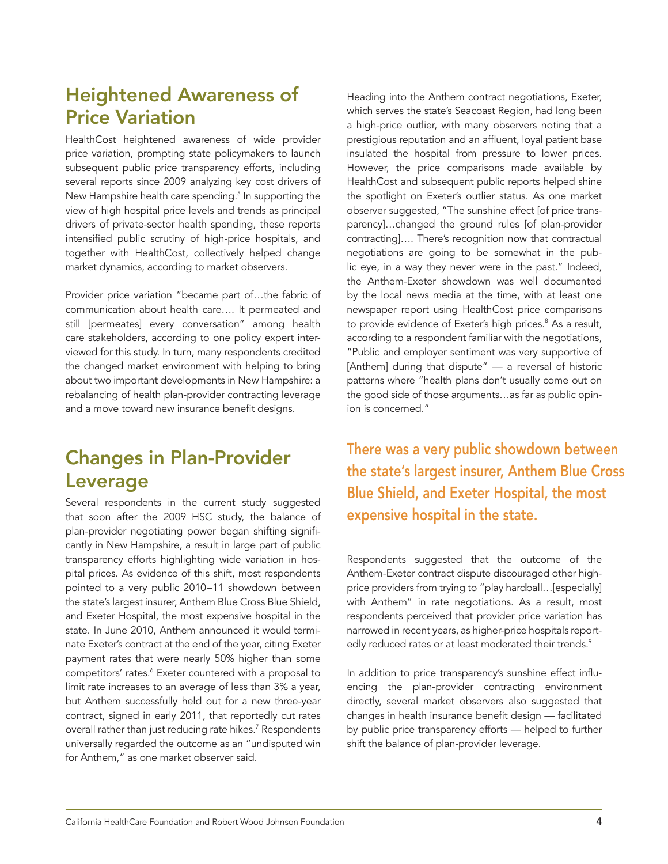# <span id="page-3-0"></span>Heightened Awareness of Price Variation

HealthCost heightened awareness of wide provider price variation, prompting state policymakers to launch subsequent public price transparency efforts, including several reports since 2009 analyzing key cost drivers of New Hampshire health care spending.<sup>5</sup> In supporting the view of high hospital price levels and trends as principal drivers of private-sector health spending, these reports intensified public scrutiny of high-price hospitals, and together with HealthCost, collectively helped change market dynamics, according to market observers.

Provider price variation "became part of…the fabric of communication about health care…. It permeated and still [permeates] every conversation" among health care stakeholders, according to one policy expert interviewed for this study. In turn, many respondents credited the changed market environment with helping to bring about two important developments in New Hampshire: a rebalancing of health plan-provider contracting leverage and a move toward new insurance benefit designs.

# Changes in Plan-Provider Leverage

Several respondents in the current study suggested that soon after the 2009 HSC study, the balance of plan-provider negotiating power began shifting significantly in New Hampshire, a result in large part of public transparency efforts highlighting wide variation in hospital prices. As evidence of this shift, most respondents pointed to a very public 2010–11 showdown between the state's largest insurer, Anthem Blue Cross Blue Shield, and Exeter Hospital, the most expensive hospital in the state. In June 2010, Anthem announced it would terminate Exeter's contract at the end of the year, citing Exeter payment rates that were nearly 50% higher than some competitors' rates.<sup>6</sup> Exeter countered with a proposal to limit rate increases to an average of less than 3% a year, but Anthem successfully held out for a new three-year contract, signed in early 2011, that reportedly cut rates overall rather than just reducing rate hikes.<sup>7</sup> Respondents universally regarded the outcome as an "undisputed win for Anthem," as one market observer said.

Heading into the Anthem contract negotiations, Exeter, which serves the state's Seacoast Region, had long been a high-price outlier, with many observers noting that a prestigious reputation and an affluent, loyal patient base insulated the hospital from pressure to lower prices. However, the price comparisons made available by HealthCost and subsequent public reports helped shine the spotlight on Exeter's outlier status. As one market observer suggested, "The sunshine effect [of price transparency]…changed the ground rules [of plan-provider contracting]…. There's recognition now that contractual negotiations are going to be somewhat in the public eye, in a way they never were in the past." Indeed, the Anthem-Exeter showdown was well documented by the local news media at the time, with at least one newspaper report using HealthCost price comparisons to provide evidence of Exeter's high prices.<sup>8</sup> As a result, according to a respondent familiar with the negotiations, "Public and employer sentiment was very supportive of [Anthem] during that dispute" — a reversal of historic patterns where "health plans don't usually come out on the good side of those arguments…as far as public opinion is concerned."

There was a very public showdown between the state's largest insurer, Anthem Blue Cross Blue Shield, and Exeter Hospital, the most expensive hospital in the state.

Respondents suggested that the outcome of the Anthem-Exeter contract dispute discouraged other highprice providers from trying to "play hardball…[especially] with Anthem" in rate negotiations. As a result, most respondents perceived that provider price variation has narrowed in recent years, as higher-price hospitals reportedly reduced rates or at least moderated their trends.<sup>9</sup>

In addition to price transparency's sunshine effect influencing the plan-provider contracting environment directly, several market observers also suggested that changes in health insurance benefit design — facilitated by public price transparency efforts — helped to further shift the balance of plan-provider leverage.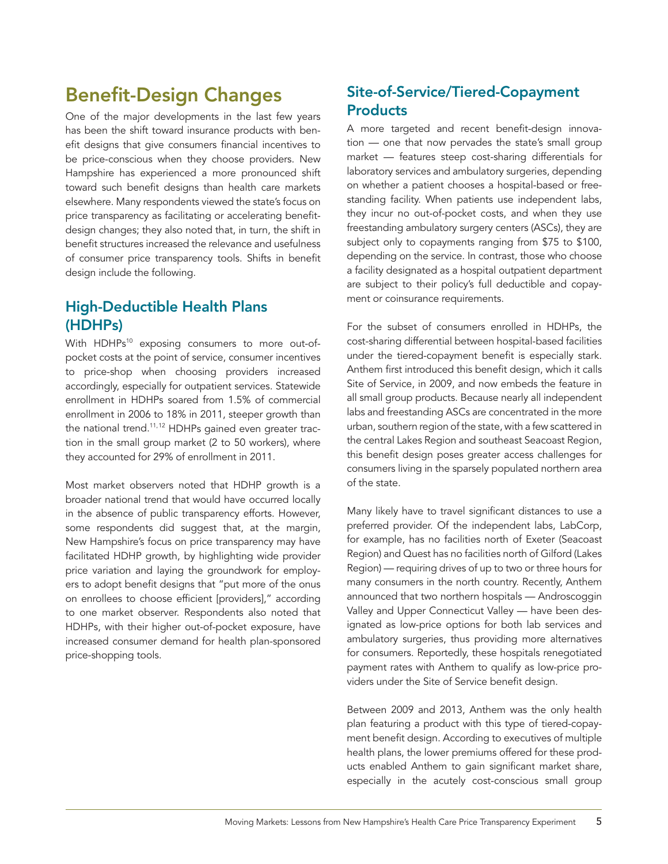## <span id="page-4-0"></span>Benefit-Design Changes

One of the major developments in the last few years has been the shift toward insurance products with benefit designs that give consumers financial incentives to be price-conscious when they choose providers. New Hampshire has experienced a more pronounced shift toward such benefit designs than health care markets elsewhere. Many respondents viewed the state's focus on price transparency as facilitating or accelerating benefitdesign changes; they also noted that, in turn, the shift in benefit structures increased the relevance and usefulness of consumer price transparency tools. Shifts in benefit design include the following.

### High-Deductible Health Plans (HDHPs)

With HDHPs<sup>10</sup> exposing consumers to more out-ofpocket costs at the point of service, consumer incentives to price-shop when choosing providers increased accordingly, especially for outpatient services. Statewide enrollment in HDHPs soared from 1.5% of commercial enrollment in 2006 to 18% in 2011, steeper growth than the national trend.<sup>11,12</sup> HDHPs gained even greater traction in the small group market (2 to 50 workers), where they accounted for 29% of enrollment in 2011.

Most market observers noted that HDHP growth is a broader national trend that would have occurred locally in the absence of public transparency efforts. However, some respondents did suggest that, at the margin, New Hampshire's focus on price transparency may have facilitated HDHP growth, by highlighting wide provider price variation and laying the groundwork for employers to adopt benefit designs that "put more of the onus on enrollees to choose efficient [providers]," according to one market observer. Respondents also noted that HDHPs, with their higher out-of-pocket exposure, have increased consumer demand for health plan-sponsored price-shopping tools.

### Site-of-Service/Tiered-Copayment **Products**

A more targeted and recent benefit-design innovation — one that now pervades the state's small group market — features steep cost-sharing differentials for laboratory services and ambulatory surgeries, depending on whether a patient chooses a hospital-based or freestanding facility. When patients use independent labs, they incur no out-of-pocket costs, and when they use freestanding ambulatory surgery centers (ASCs), they are subject only to copayments ranging from \$75 to \$100, depending on the service. In contrast, those who choose a facility designated as a hospital outpatient department are subject to their policy's full deductible and copayment or coinsurance requirements.

For the subset of consumers enrolled in HDHPs, the cost-sharing differential between hospital-based facilities under the tiered-copayment benefit is especially stark. Anthem first introduced this benefit design, which it calls Site of Service, in 2009, and now embeds the feature in all small group products. Because nearly all independent labs and freestanding ASCs are concentrated in the more urban, southern region of the state, with a few scattered in the central Lakes Region and southeast Seacoast Region, this benefit design poses greater access challenges for consumers living in the sparsely populated northern area of the state.

Many likely have to travel significant distances to use a preferred provider. Of the independent labs, LabCorp, for example, has no facilities north of Exeter (Seacoast Region) and Quest has no facilities north of Gilford (Lakes Region) — requiring drives of up to two or three hours for many consumers in the north country. Recently, Anthem announced that two northern hospitals — Androscoggin Valley and Upper Connecticut Valley — have been designated as low-price options for both lab services and ambulatory surgeries, thus providing more alternatives for consumers. Reportedly, these hospitals renegotiated payment rates with Anthem to qualify as low-price providers under the Site of Service benefit design.

Between 2009 and 2013, Anthem was the only health plan featuring a product with this type of tiered-copayment benefit design. According to executives of multiple health plans, the lower premiums offered for these products enabled Anthem to gain significant market share, especially in the acutely cost-conscious small group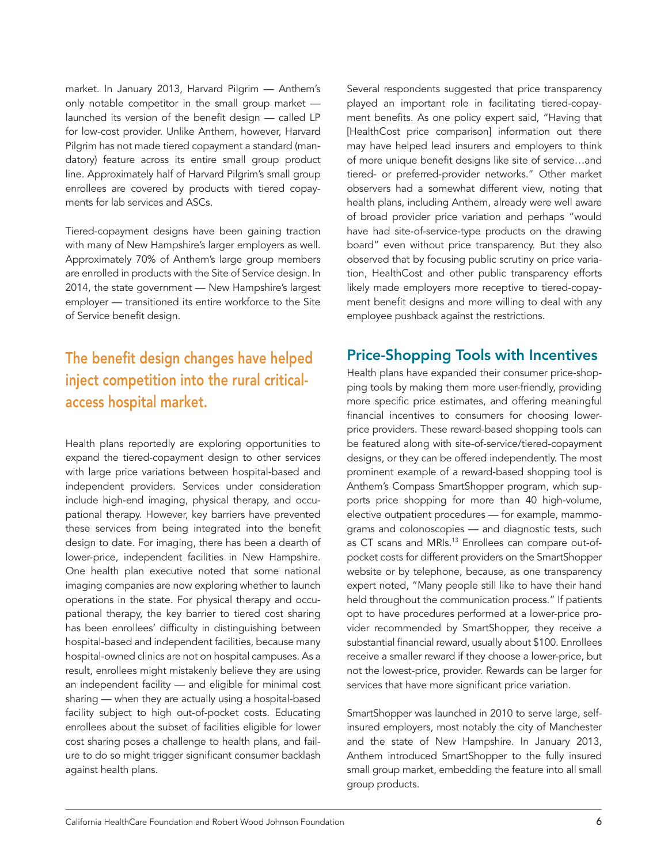<span id="page-5-0"></span>market. In January 2013, Harvard Pilgrim — Anthem's only notable competitor in the small group market launched its version of the benefit design — called LP for low-cost provider. Unlike Anthem, however, Harvard Pilgrim has not made tiered copayment a standard (mandatory) feature across its entire small group product line. Approximately half of Harvard Pilgrim's small group enrollees are covered by products with tiered copayments for lab services and ASCs.

Tiered-copayment designs have been gaining traction with many of New Hampshire's larger employers as well. Approximately 70% of Anthem's large group members are enrolled in products with the Site of Service design. In 2014, the state government — New Hampshire's largest employer — transitioned its entire workforce to the Site of Service benefit design.

### The benefit design changes have helped inject competition into the rural criticalaccess hospital market.

Health plans reportedly are exploring opportunities to expand the tiered-copayment design to other services with large price variations between hospital-based and independent providers. Services under consideration include high-end imaging, physical therapy, and occupational therapy. However, key barriers have prevented these services from being integrated into the benefit design to date. For imaging, there has been a dearth of lower-price, independent facilities in New Hampshire. One health plan executive noted that some national imaging companies are now exploring whether to launch operations in the state. For physical therapy and occupational therapy, the key barrier to tiered cost sharing has been enrollees' difficulty in distinguishing between hospital-based and independent facilities, because many hospital-owned clinics are not on hospital campuses. As a result, enrollees might mistakenly believe they are using an independent facility — and eligible for minimal cost sharing — when they are actually using a hospital-based facility subject to high out-of-pocket costs. Educating enrollees about the subset of facilities eligible for lower cost sharing poses a challenge to health plans, and failure to do so might trigger significant consumer backlash against health plans.

Several respondents suggested that price transparency played an important role in facilitating tiered-copayment benefits. As one policy expert said, "Having that [HealthCost price comparison] information out there may have helped lead insurers and employers to think of more unique benefit designs like site of service…and tiered- or preferred-provider networks." Other market observers had a somewhat different view, noting that health plans, including Anthem, already were well aware of broad provider price variation and perhaps "would have had site-of-service-type products on the drawing board" even without price transparency. But they also observed that by focusing public scrutiny on price variation, HealthCost and other public transparency efforts likely made employers more receptive to tiered-copayment benefit designs and more willing to deal with any employee pushback against the restrictions.

### Price-Shopping Tools with Incentives

Health plans have expanded their consumer price-shopping tools by making them more user-friendly, providing more specific price estimates, and offering meaningful financial incentives to consumers for choosing lowerprice providers. These reward-based shopping tools can be featured along with site-of-service/tiered-copayment designs, or they can be offered independently. The most prominent example of a reward-based shopping tool is Anthem's Compass SmartShopper program, which supports price shopping for more than 40 high-volume, elective outpatient procedures — for example, mammograms and colonoscopies — and diagnostic tests, such as CT scans and MRIs.<sup>13</sup> Enrollees can compare out-ofpocket costs for different providers on the SmartShopper website or by telephone, because, as one transparency expert noted, "Many people still like to have their hand held throughout the communication process." If patients opt to have procedures performed at a lower-price provider recommended by SmartShopper, they receive a substantial financial reward, usually about \$100. Enrollees receive a smaller reward if they choose a lower-price, but not the lowest-price, provider. Rewards can be larger for services that have more significant price variation.

SmartShopper was launched in 2010 to serve large, selfinsured employers, most notably the city of Manchester and the state of New Hampshire. In January 2013, Anthem introduced SmartShopper to the fully insured small group market, embedding the feature into all small group products.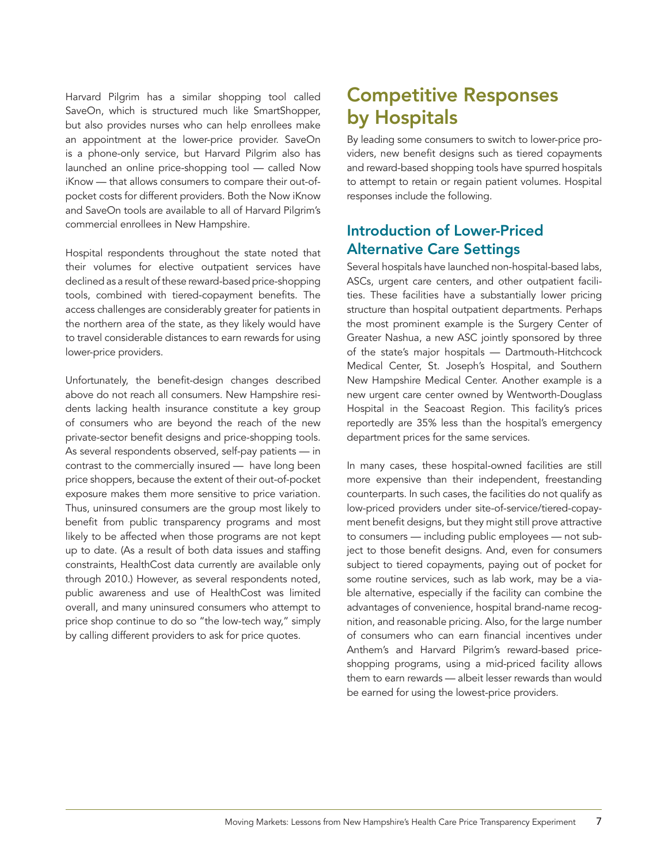<span id="page-6-0"></span>Harvard Pilgrim has a similar shopping tool called SaveOn, which is structured much like SmartShopper, but also provides nurses who can help enrollees make an appointment at the lower-price provider. SaveOn is a phone-only service, but Harvard Pilgrim also has launched an online price-shopping tool — called Now iKnow — that allows consumers to compare their out-ofpocket costs for different providers. Both the Now iKnow and SaveOn tools are available to all of Harvard Pilgrim's commercial enrollees in New Hampshire.

Hospital respondents throughout the state noted that their volumes for elective outpatient services have declined as a result of these reward-based price-shopping tools, combined with tiered-copayment benefits. The access challenges are considerably greater for patients in the northern area of the state, as they likely would have to travel considerable distances to earn rewards for using lower-price providers.

Unfortunately, the benefit-design changes described above do not reach all consumers. New Hampshire residents lacking health insurance constitute a key group of consumers who are beyond the reach of the new private-sector benefit designs and price-shopping tools. As several respondents observed, self-pay patients — in contrast to the commercially insured — have long been price shoppers, because the extent of their out-of-pocket exposure makes them more sensitive to price variation. Thus, uninsured consumers are the group most likely to benefit from public transparency programs and most likely to be affected when those programs are not kept up to date. (As a result of both data issues and staffing constraints, HealthCost data currently are available only through 2010.) However, as several respondents noted, public awareness and use of HealthCost was limited overall, and many uninsured consumers who attempt to price shop continue to do so "the low-tech way," simply by calling different providers to ask for price quotes.

# Competitive Responses by Hospitals

By leading some consumers to switch to lower-price providers, new benefit designs such as tiered copayments and reward-based shopping tools have spurred hospitals to attempt to retain or regain patient volumes. Hospital responses include the following.

### Introduction of Lower-Priced Alternative Care Settings

Several hospitals have launched non-hospital-based labs, ASCs, urgent care centers, and other outpatient facilities. These facilities have a substantially lower pricing structure than hospital outpatient departments. Perhaps the most prominent example is the Surgery Center of Greater Nashua, a new ASC jointly sponsored by three of the state's major hospitals — Dartmouth-Hitchcock Medical Center, St. Joseph's Hospital, and Southern New Hampshire Medical Center. Another example is a new urgent care center owned by Wentworth-Douglass Hospital in the Seacoast Region. This facility's prices reportedly are 35% less than the hospital's emergency department prices for the same services.

In many cases, these hospital-owned facilities are still more expensive than their independent, freestanding counterparts. In such cases, the facilities do not qualify as low-priced providers under site-of-service/tiered-copayment benefit designs, but they might still prove attractive to consumers — including public employees — not subject to those benefit designs. And, even for consumers subject to tiered copayments, paying out of pocket for some routine services, such as lab work, may be a viable alternative, especially if the facility can combine the advantages of convenience, hospital brand-name recognition, and reasonable pricing. Also, for the large number of consumers who can earn financial incentives under Anthem's and Harvard Pilgrim's reward-based priceshopping programs, using a mid-priced facility allows them to earn rewards — albeit lesser rewards than would be earned for using the lowest-price providers.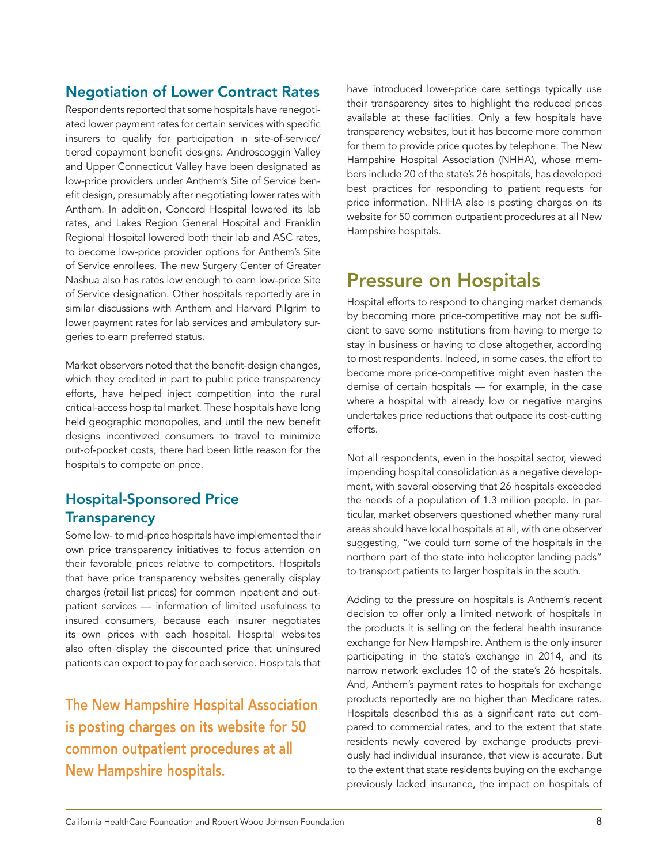### <span id="page-7-0"></span>Negotiation of Lower Contract Rates

Respondents reported that some hospitals have renegotiated lower payment rates for certain services with specific insurers to qualify for participation in site-of-service/ tiered copayment benefit designs. Androscoggin Valley and Upper Connecticut Valley have been designated as low-price providers under Anthem's Site of Service benefit design, presumably after negotiating lower rates with Anthem. In addition, Concord Hospital lowered its lab rates, and Lakes Region General Hospital and Franklin Regional Hospital lowered both their lab and ASC rates, to become low-price provider options for Anthem's Site of Service enrollees. The new Surgery Center of Greater Nashua also has rates low enough to earn low-price Site of Service designation. Other hospitals reportedly are in similar discussions with Anthem and Harvard Pilgrim to lower payment rates for lab services and ambulatory surgeries to earn preferred status.

Market observers noted that the benefit-design changes, which they credited in part to public price transparency efforts, have helped inject competition into the rural critical-access hospital market. These hospitals have long held geographic monopolies, and until the new benefit designs incentivized consumers to travel to minimize out-of-pocket costs, there had been little reason for the hospitals to compete on price.

### Hospital-Sponsored Price **Transparency**

Some low- to mid-price hospitals have implemented their own price transparency initiatives to focus attention on their favorable prices relative to competitors. Hospitals that have price transparency websites generally display charges (retail list prices) for common inpatient and outpatient services — information of limited usefulness to insured consumers, because each insurer negotiates its own prices with each hospital. Hospital websites also often display the discounted price that uninsured patients can expect to pay for each service. Hospitals that

The New Hampshire Hospital Association is posting charges on its website for 50 common outpatient procedures at all New Hampshire hospitals.

have introduced lower-price care settings typically use their transparency sites to highlight the reduced prices available at these facilities. Only a few hospitals have transparency websites, but it has become more common for them to provide price quotes by telephone. The New Hampshire Hospital Association (NHHA), whose members include 20 of the state's 26 hospitals, has developed best practices for responding to patient requests for price information. NHHA also is posting charges on its website for 50 common outpatient procedures at all New Hampshire hospitals.

## Pressure on Hospitals

Hospital efforts to respond to changing market demands by becoming more price-competitive may not be sufficient to save some institutions from having to merge to stay in business or having to close altogether, according to most respondents. Indeed, in some cases, the effort to become more price-competitive might even hasten the demise of certain hospitals — for example, in the case where a hospital with already low or negative margins undertakes price reductions that outpace its cost-cutting efforts.

Not all respondents, even in the hospital sector, viewed impending hospital consolidation as a negative development, with several observing that 26 hospitals exceeded the needs of a population of 1.3 million people. In particular, market observers questioned whether many rural areas should have local hospitals at all, with one observer suggesting, "we could turn some of the hospitals in the northern part of the state into helicopter landing pads" to transport patients to larger hospitals in the south.

Adding to the pressure on hospitals is Anthem's recent decision to offer only a limited network of hospitals in the products it is selling on the federal health insurance exchange for New Hampshire. Anthem is the only insurer participating in the state's exchange in 2014, and its narrow network excludes 10 of the state's 26 hospitals. And, Anthem's payment rates to hospitals for exchange products reportedly are no higher than Medicare rates. Hospitals described this as a significant rate cut compared to commercial rates, and to the extent that state residents newly covered by exchange products previously had individual insurance, that view is accurate. But to the extent that state residents buying on the exchange previously lacked insurance, the impact on hospitals of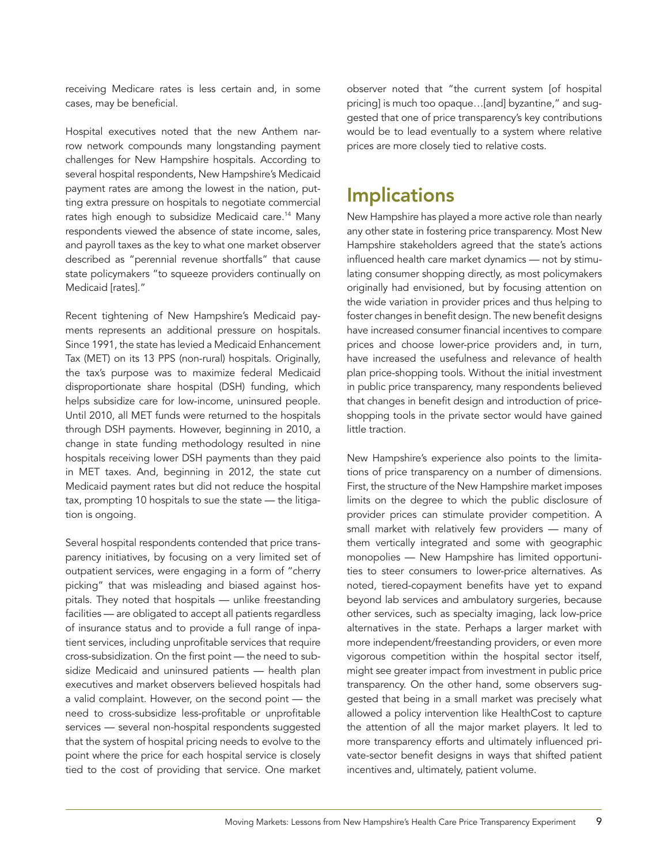<span id="page-8-0"></span>receiving Medicare rates is less certain and, in some cases, may be beneficial.

Hospital executives noted that the new Anthem narrow network compounds many longstanding payment challenges for New Hampshire hospitals. According to several hospital respondents, New Hampshire's Medicaid payment rates are among the lowest in the nation, putting extra pressure on hospitals to negotiate commercial rates high enough to subsidize Medicaid care.<sup>14</sup> Many respondents viewed the absence of state income, sales, and payroll taxes as the key to what one market observer described as "perennial revenue shortfalls" that cause state policymakers "to squeeze providers continually on Medicaid [rates]."

Recent tightening of New Hampshire's Medicaid payments represents an additional pressure on hospitals. Since 1991, the state has levied a Medicaid Enhancement Tax (MET) on its 13 PPS (non-rural) hospitals. Originally, the tax's purpose was to maximize federal Medicaid disproportionate share hospital (DSH) funding, which helps subsidize care for low-income, uninsured people. Until 2010, all MET funds were returned to the hospitals through DSH payments. However, beginning in 2010, a change in state funding methodology resulted in nine hospitals receiving lower DSH payments than they paid in MET taxes. And, beginning in 2012, the state cut Medicaid payment rates but did not reduce the hospital tax, prompting 10 hospitals to sue the state — the litigation is ongoing.

Several hospital respondents contended that price transparency initiatives, by focusing on a very limited set of outpatient services, were engaging in a form of "cherry picking" that was misleading and biased against hospitals. They noted that hospitals — unlike freestanding facilities — are obligated to accept all patients regardless of insurance status and to provide a full range of inpatient services, including unprofitable services that require cross-subsidization. On the first point — the need to subsidize Medicaid and uninsured patients — health plan executives and market observers believed hospitals had a valid complaint. However, on the second point — the need to cross-subsidize less-profitable or unprofitable services — several non-hospital respondents suggested that the system of hospital pricing needs to evolve to the point where the price for each hospital service is closely tied to the cost of providing that service. One market observer noted that "the current system [of hospital pricing] is much too opaque…[and] byzantine," and suggested that one of price transparency's key contributions would be to lead eventually to a system where relative prices are more closely tied to relative costs.

## **Implications**

New Hampshire has played a more active role than nearly any other state in fostering price transparency. Most New Hampshire stakeholders agreed that the state's actions influenced health care market dynamics — not by stimulating consumer shopping directly, as most policymakers originally had envisioned, but by focusing attention on the wide variation in provider prices and thus helping to foster changes in benefit design. The new benefit designs have increased consumer financial incentives to compare prices and choose lower-price providers and, in turn, have increased the usefulness and relevance of health plan price-shopping tools. Without the initial investment in public price transparency, many respondents believed that changes in benefit design and introduction of priceshopping tools in the private sector would have gained little traction.

New Hampshire's experience also points to the limitations of price transparency on a number of dimensions. First, the structure of the New Hampshire market imposes limits on the degree to which the public disclosure of provider prices can stimulate provider competition. A small market with relatively few providers — many of them vertically integrated and some with geographic monopolies — New Hampshire has limited opportunities to steer consumers to lower-price alternatives. As noted, tiered-copayment benefits have yet to expand beyond lab services and ambulatory surgeries, because other services, such as specialty imaging, lack low-price alternatives in the state. Perhaps a larger market with more independent/freestanding providers, or even more vigorous competition within the hospital sector itself, might see greater impact from investment in public price transparency. On the other hand, some observers suggested that being in a small market was precisely what allowed a policy intervention like HealthCost to capture the attention of all the major market players. It led to more transparency efforts and ultimately influenced private-sector benefit designs in ways that shifted patient incentives and, ultimately, patient volume.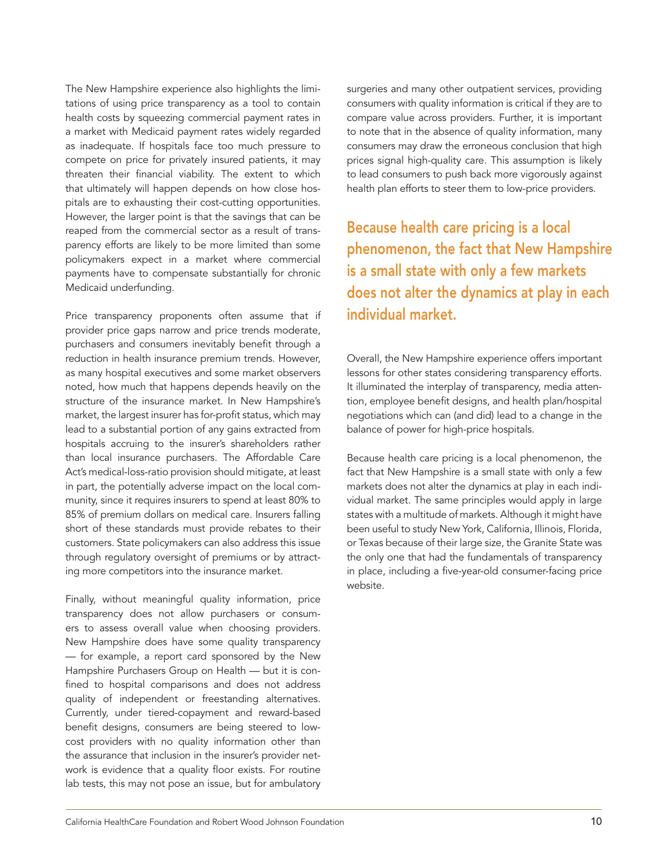The New Hampshire experience also highlights the limitations of using price transparency as a tool to contain health costs by squeezing commercial payment rates in a market with Medicaid payment rates widely regarded as inadequate. If hospitals face too much pressure to compete on price for privately insured patients, it may threaten their financial viability. The extent to which that ultimately will happen depends on how close hospitals are to exhausting their cost-cutting opportunities. However, the larger point is that the savings that can be reaped from the commercial sector as a result of transparency efforts are likely to be more limited than some policymakers expect in a market where commercial payments have to compensate substantially for chronic Medicaid underfunding.

Price transparency proponents often assume that if provider price gaps narrow and price trends moderate, purchasers and consumers inevitably benefit through a reduction in health insurance premium trends. However, as many hospital executives and some market observers noted, how much that happens depends heavily on the structure of the insurance market. In New Hampshire's market, the largest insurer has for-profit status, which may lead to a substantial portion of any gains extracted from hospitals accruing to the insurer's shareholders rather than local insurance purchasers. The Affordable Care Act's medical-loss-ratio provision should mitigate, at least in part, the potentially adverse impact on the local community, since it requires insurers to spend at least 80% to 85% of premium dollars on medical care. Insurers falling short of these standards must provide rebates to their customers. State policymakers can also address this issue through regulatory oversight of premiums or by attracting more competitors into the insurance market.

Finally, without meaningful quality information, price transparency does not allow purchasers or consumers to assess overall value when choosing providers. New Hampshire does have some quality transparency — for example, a report card sponsored by the New Hampshire Purchasers Group on Health — but it is confined to hospital comparisons and does not address quality of independent or freestanding alternatives. Currently, under tiered-copayment and reward-based benefit designs, consumers are being steered to lowcost providers with no quality information other than the assurance that inclusion in the insurer's provider network is evidence that a quality floor exists. For routine lab tests, this may not pose an issue, but for ambulatory

surgeries and many other outpatient services, providing consumers with quality information is critical if they are to compare value across providers. Further, it is important to note that in the absence of quality information, many consumers may draw the erroneous conclusion that high prices signal high-quality care. This assumption is likely to lead consumers to push back more vigorously against health plan efforts to steer them to low-price providers.

Because health care pricing is a local phenomenon, the fact that New Hampshire is a small state with only a few markets does not alter the dynamics at play in each individual market.

Overall, the New Hampshire experience offers important lessons for other states considering transparency efforts. It illuminated the interplay of transparency, media attention, employee benefit designs, and health plan/hospital negotiations which can (and did) lead to a change in the balance of power for high-price hospitals.

Because health care pricing is a local phenomenon, the fact that New Hampshire is a small state with only a few markets does not alter the dynamics at play in each individual market. The same principles would apply in large states with a multitude of markets. Although it might have been useful to study New York, California, Illinois, Florida, or Texas because of their large size, the Granite State was the only one that had the fundamentals of transparency in place, including a five-year-old consumer-facing price website.